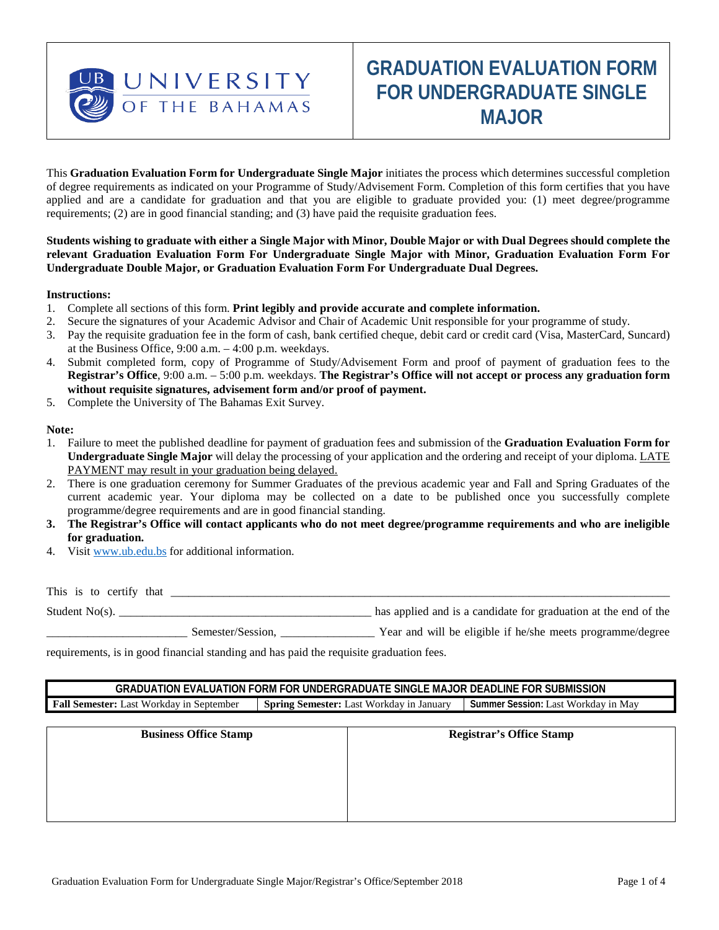

# **GRADUATION EVALUATION FORM FOR UNDERGRADUATE SINGLE MAJOR**

This **Graduation Evaluation Form for Undergraduate Single Major** initiates the process which determines successful completion of degree requirements as indicated on your Programme of Study/Advisement Form. Completion of this form certifies that you have applied and are a candidate for graduation and that you are eligible to graduate provided you: (1) meet degree/programme requirements; (2) are in good financial standing; and (3) have paid the requisite graduation fees.

#### **Students wishing to graduate with either a Single Major with Minor, Double Major or with Dual Degrees should complete the relevant Graduation Evaluation Form For Undergraduate Single Major with Minor, Graduation Evaluation Form For Undergraduate Double Major, or Graduation Evaluation Form For Undergraduate Dual Degrees.**

#### **Instructions:**

- 1. Complete all sections of this form. **Print legibly and provide accurate and complete information.**
- 2. Secure the signatures of your Academic Advisor and Chair of Academic Unit responsible for your programme of study.
- 3. Pay the requisite graduation fee in the form of cash, bank certified cheque, debit card or credit card (Visa, MasterCard, Suncard) at the Business Office, 9:00 a.m. – 4:00 p.m. weekdays.
- 4. Submit completed form, copy of Programme of Study/Advisement Form and proof of payment of graduation fees to the **Registrar's Office**, 9:00 a.m. – 5:00 p.m. weekdays. **The Registrar's Office will not accept or process any graduation form without requisite signatures, advisement form and/or proof of payment.**
- 5. Complete the University of The Bahamas Exit Survey.

#### **Note:**

- 1. Failure to meet the published deadline for payment of graduation fees and submission of the **Graduation Evaluation Form for Undergraduate Single Major** will delay the processing of your application and the ordering and receipt of your diploma. LATE PAYMENT may result in your graduation being delayed.
- 2. There is one graduation ceremony for Summer Graduates of the previous academic year and Fall and Spring Graduates of the current academic year. Your diploma may be collected on a date to be published once you successfully complete programme/degree requirements and are in good financial standing.
- **3. The Registrar's Office will contact applicants who do not meet degree/programme requirements and who are ineligible for graduation.**
- 4. Visit [www.ub.edu.bs](http://www.ub.edu.bs/) for additional information.

| This is to certify that |                   |                                                                 |
|-------------------------|-------------------|-----------------------------------------------------------------|
| Student $No(s)$ .       |                   | has applied and is a candidate for graduation at the end of the |
|                         | Semester/Session. | Year and will be eligible if he/she meets programme/degree      |

requirements, is in good financial standing and has paid the requisite graduation fees.

**GRADUATION EVALUATION FORM FOR UNDERGRADUATE SINGLE MAJOR DEADLINE FOR SUBMISSION Fall Semester:** Last Workday in September **Spring Semester:** Last Workday in January Summer Session: Last Workday in May

| <b>Business Office Stamp</b> | <b>Registrar's Office Stamp</b> |  |  |  |
|------------------------------|---------------------------------|--|--|--|
|                              |                                 |  |  |  |
|                              |                                 |  |  |  |
|                              |                                 |  |  |  |
|                              |                                 |  |  |  |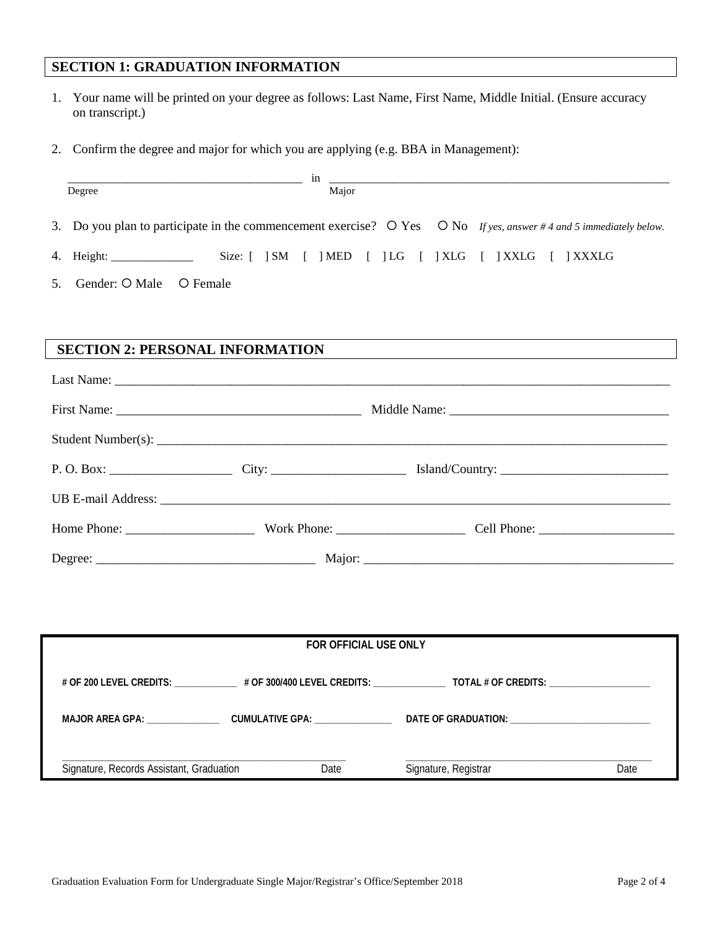## **SECTION 1: GRADUATION INFORMATION**

- 1. Your name will be printed on your degree as follows: Last Name, First Name, Middle Initial. (Ensure accuracy on transcript.)
- 2. Confirm the degree and major for which you are applying (e.g. BBA in Management):

|                                                                                                                               | 1n |       |  |                                                        |
|-------------------------------------------------------------------------------------------------------------------------------|----|-------|--|--------------------------------------------------------|
| Degree                                                                                                                        |    | Major |  |                                                        |
|                                                                                                                               |    |       |  |                                                        |
| 3. Do you plan to participate in the commencement exercise? $\circ$ Yes $\circ$ No If yes, answer #4 and 5 immediately below. |    |       |  |                                                        |
|                                                                                                                               |    |       |  |                                                        |
|                                                                                                                               |    |       |  | Size: [ ] SM [ ] MED [ ] LG [ ] XLG [ ] XXLG [ ] XXXLG |
| 5. Gender: O Male O Female                                                                                                    |    |       |  |                                                        |

## **SECTION 2: PERSONAL INFORMATION**

|  | $P. O. Box:$ City: City: Sland/Country: |  |
|--|-----------------------------------------|--|
|  |                                         |  |
|  |                                         |  |
|  |                                         |  |

|                                          | FOR OFFICIAL USE ONLY |                      |      |
|------------------------------------------|-----------------------|----------------------|------|
|                                          |                       |                      |      |
|                                          |                       |                      |      |
| Signature, Records Assistant, Graduation | Date                  | Signature, Registrar | Date |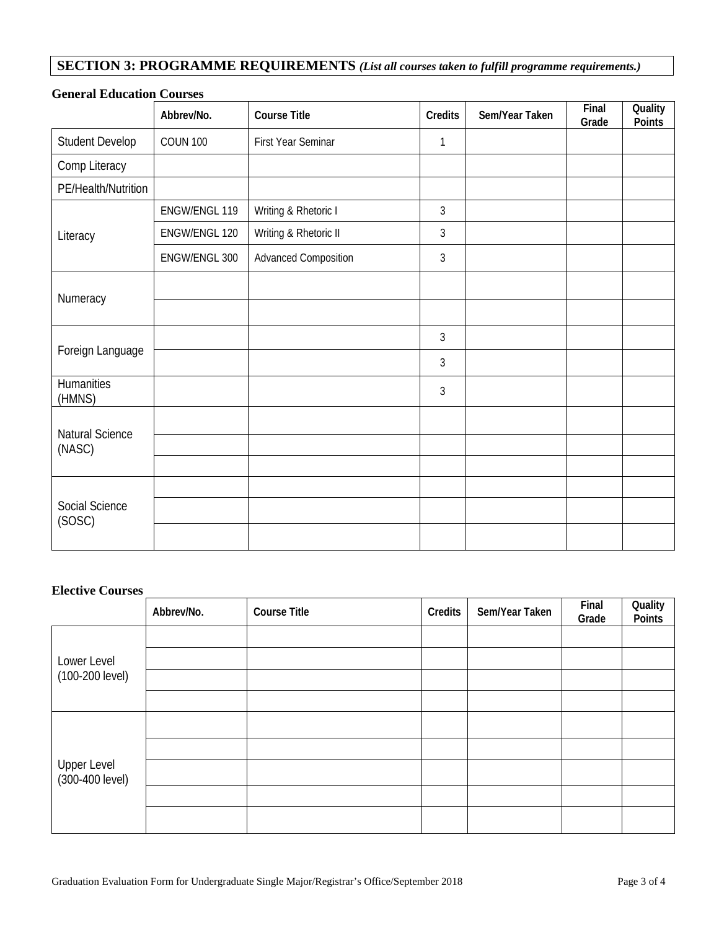## **SECTION 3: PROGRAMME REQUIREMENTS** *(List all courses taken to fulfill programme requirements.)*

|                           | Abbrev/No.      | <b>Course Title</b>         | <b>Credits</b> | Sem/Year Taken | Final<br>Grade | Quality<br>Points |
|---------------------------|-----------------|-----------------------------|----------------|----------------|----------------|-------------------|
| <b>Student Develop</b>    | <b>COUN 100</b> | First Year Seminar          | 1              |                |                |                   |
| Comp Literacy             |                 |                             |                |                |                |                   |
| PE/Health/Nutrition       |                 |                             |                |                |                |                   |
|                           | ENGW/ENGL 119   | Writing & Rhetoric I        | 3              |                |                |                   |
| Literacy                  | ENGW/ENGL 120   | Writing & Rhetoric II       | 3              |                |                |                   |
|                           | ENGW/ENGL 300   | <b>Advanced Composition</b> | 3              |                |                |                   |
|                           |                 |                             |                |                |                |                   |
| Numeracy                  |                 |                             |                |                |                |                   |
|                           |                 |                             | $\mathfrak{Z}$ |                |                |                   |
| Foreign Language          |                 |                             | 3              |                |                |                   |
| Humanities<br>(HMNS)      |                 |                             | 3              |                |                |                   |
|                           |                 |                             |                |                |                |                   |
| Natural Science<br>(NASC) |                 |                             |                |                |                |                   |
|                           |                 |                             |                |                |                |                   |
|                           |                 |                             |                |                |                |                   |
| Social Science<br>(SOSC)  |                 |                             |                |                |                |                   |
|                           |                 |                             |                |                |                |                   |

## **General Education Courses**

## **Elective Courses**

|                                | Abbrev/No. | <b>Course Title</b> | Credits | Sem/Year Taken | Final<br>Grade | Quality<br>Points |
|--------------------------------|------------|---------------------|---------|----------------|----------------|-------------------|
|                                |            |                     |         |                |                |                   |
| Lower Level                    |            |                     |         |                |                |                   |
| (100-200 level)                |            |                     |         |                |                |                   |
|                                |            |                     |         |                |                |                   |
| Upper Level<br>(300-400 level) |            |                     |         |                |                |                   |
|                                |            |                     |         |                |                |                   |
|                                |            |                     |         |                |                |                   |
|                                |            |                     |         |                |                |                   |
|                                |            |                     |         |                |                |                   |